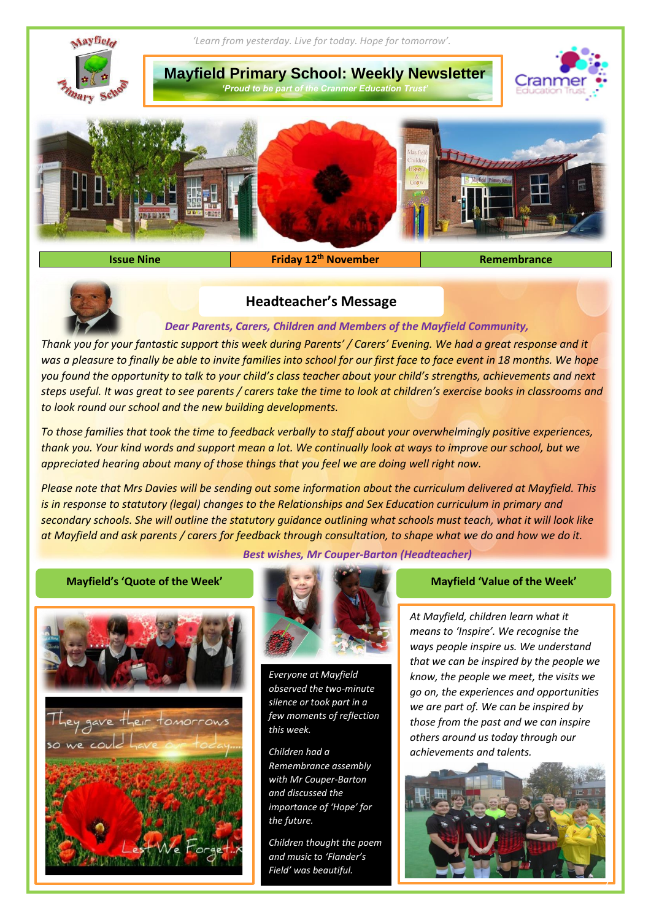

**Issue Nine Remembrance Remembrance Remembrance Remembrance** 



## **Headteacher's Message**

## *Dear Parents, Carers, Children and Members of the Mayfield Community,*

*Thank you for your fantastic support this week during Parents' / Carers' Evening. We had a great response and it was a pleasure to finally be able to invite families into school for our first face to face event in 18 months. We hope you found the opportunity to talk to your child's class teacher about your child's strengths, achievements and next steps useful. It was great to see parents / carers take the time to look at children's exercise books in classrooms and to look round our school and the new building developments.* 

*To those families that took the time to feedback verbally to staff about your overwhelmingly positive experiences, thank you. Your kind words and support mean a lot. We continually look at ways to improve our school, but we appreciated hearing about many of those things that you feel we are doing well right now.*

*Please note that Mrs Davies will be sending out some information about the curriculum delivered at Mayfield. This is in response to statutory (legal) changes to the Relationships and Sex Education curriculum in primary and secondary schools. She will outline the statutory guidance outlining what schools must teach, what it will look like at Mayfield and ask parents / carers for feedback through consultation, to shape what we do and how we do it.* 





*Best wishes, Mr Couper-Barton (Headteacher)*



*Everyone at Mayfield observed the two-minute silence or took part in a few moments of reflection this week.* 

*Children had a Remembrance assembly with Mr Couper-Barton and discussed the importance of 'Hope' for the future.*

*Children thought the poem and music to 'Flander's Field' was beautiful.*

*At Mayfield, children learn what it means to 'Inspire'. We recognise the ways people inspire us. We understand that we can be inspired by the people we know, the people we meet, the visits we go on, the experiences and opportunities we are part of. We can be inspired by those from the past and we can inspire others around us today through our achievements and talents.*

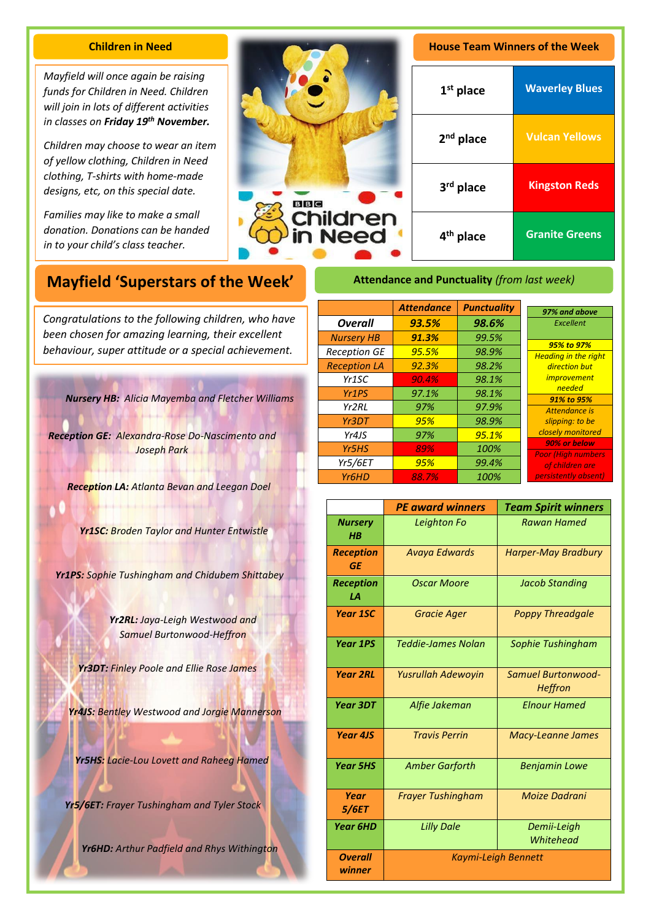## **Children in Need**

*Mayfield will once again be raising funds for Children in Need. Children will join in lots of different activities in classes on Friday 19th November.* 

*Children may choose to wear an item of yellow clothing, Children in Need clothing, T-shirts with home-made designs, etc, on this special date.*

*Families may like to make a small donation. Donations can be handed in to your child's class teacher.*



| <b>House Team Winners of the Week</b> |                       |  |
|---------------------------------------|-----------------------|--|
| $1st$ place                           | <b>Waverley Blues</b> |  |
| $2nd$ place                           | <b>Vulcan Yellows</b> |  |
| 3rd place                             | <b>Kingston Reds</b>  |  |
| 4 <sup>th</sup> place                 | <b>Granite Greens</b> |  |

# **Mayfield 'Superstars of the Week'**

A *been chosen for amazing learning, their excellent Congratulations to the following children, who have behaviour, super attitude or a special achievement.*

*Nursery HB: Alicia Mayemba and Fletcher Williams*

*Reception GE: Alexandra-Rose Do-Nascimento and Joseph Park*

*Reception LA: Atlanta Bevan and Leegan Doel*

*Yr1SC: Broden Taylor and Hunter Entwistle*

*Yr1PS: Sophie Tushingham and Chidubem Shittabey*

*Yr2RL: Jaya-Leigh Westwood and Samuel Burtonwood-Heffron*

*Yr3DT: Finley Poole and Ellie Rose James*

*Yr4JS: Bentley Westwood and Jorgie Mannerson*

*Yr5HS: Lacie-Lou Lovett and Raheeg Hamed*

*Yr5/6ET: Frayer Tushingham and Tyler Stock*

*Yr6HD: Arthur Padfield and Rhys Withington*

## **Attendance and Punctuality** *(from last week)*

|                                | <b>Attendance</b> | <b>Punctuality</b> | 97% and above                              |
|--------------------------------|-------------------|--------------------|--------------------------------------------|
| <b>Overall</b>                 | 93.5%             | 98.6%              | Excellent                                  |
| <b>Nursery HB</b>              | 91.3%             | 99.5%              |                                            |
| <b>Reception GE</b>            | 95.5%             | 98.9%              | 95% to 97%<br><b>Heading in the right</b>  |
| <b>Reception LA</b>            | 92.3%             | 98.2%              | direction but                              |
| Yr <sub>1</sub> SC             | 90.4%             | 98.1%              | <i>improvement</i>                         |
| Yr <sub>1</sub> P <sub>S</sub> | 97.1%             | 98.1%              | needed                                     |
| Yr2RL                          | 97%               | 97.9%              | 91% to 95%<br>Attendance is                |
| Yr3DT                          | 95%               | 98.9%              | slipping: to be                            |
| Yr4JS                          | 97%               | 95.1%              | closely monitored                          |
| Yr <sub>5</sub> HS             | 89%               | 100%               | 90% or below<br><b>Poor</b> (High numbers) |
| <b>Yr5/6ET</b>                 | 95%               | 99.4%              | of children are                            |
| Yr <sub>6</sub> HD             | 88.7%             | 100%               | persistently absent)                       |

|                               | <b>PE award winners</b>   | <b>Team Spirit winners</b>           |
|-------------------------------|---------------------------|--------------------------------------|
| <b>Nursery</b><br>$H$ $B$     | Leighton Fo               | <b>Rawan Hamed</b>                   |
| <b>Reception</b><br><b>GE</b> | <b>Avaya Edwards</b>      | <b>Harper-May Bradbury</b>           |
| <b>Reception</b><br>1А        | Oscar Moore               | <b>Jacob Standing</b>                |
| <b>Year 1SC</b>               | <b>Gracie Ager</b>        | <b>Poppy Threadgale</b>              |
| <b>Year 1PS</b>               | Teddie-James Nolan        | Sophie Tushingham                    |
| <b>Year 2RL</b>               | <b>Yusrullah Adewoyin</b> | Samuel Burtonwood-<br><b>Heffron</b> |
| Year 3DT                      | Alfie Jakeman             | <b>Elnour Hamed</b>                  |
| <b>Year 4JS</b>               | <b>Travis Perrin</b>      | <b>Macy-Leanne James</b>             |
| <b>Year 5HS</b>               | <b>Amber Garforth</b>     | <b>Benjamin Lowe</b>                 |
| Year<br><i><b>5/6ET</b></i>   | <b>Frayer Tushingham</b>  | Moize Dadrani                        |
| <b>Year 6HD</b>               | <b>Lilly Dale</b>         | Demii-Leigh<br>Whitehead             |
| <b>Overall</b><br>winner      |                           | <b>Kaymi-Leigh Bennett</b>           |